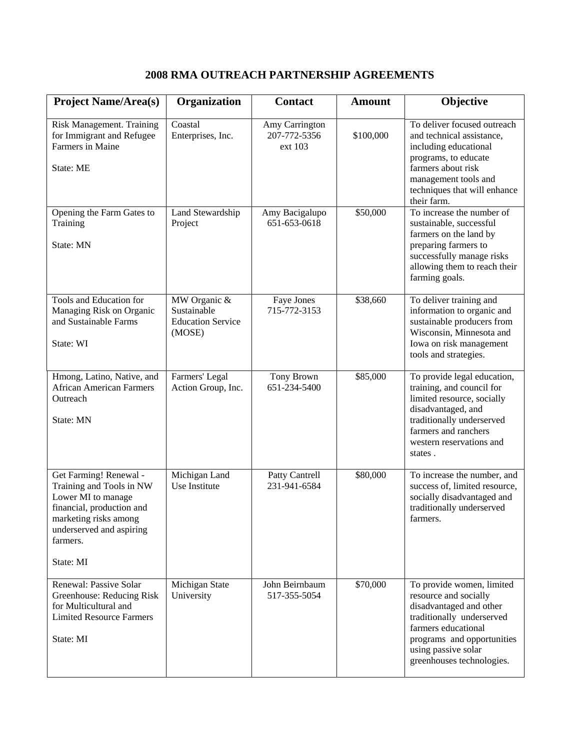## **2008 RMA OUTREACH PARTNERSHIP AGREEMENTS**

| <b>Project Name/Area(s)</b>                                                                                                                                                         | Organization                                                      | <b>Contact</b>                            | <b>Amount</b> | Objective                                                                                                                                                                                                           |
|-------------------------------------------------------------------------------------------------------------------------------------------------------------------------------------|-------------------------------------------------------------------|-------------------------------------------|---------------|---------------------------------------------------------------------------------------------------------------------------------------------------------------------------------------------------------------------|
| Risk Management. Training<br>for Immigrant and Refugee<br>Farmers in Maine<br>State: ME                                                                                             | Coastal<br>Enterprises, Inc.                                      | Amy Carrington<br>207-772-5356<br>ext 103 | \$100,000     | To deliver focused outreach<br>and technical assistance,<br>including educational<br>programs, to educate<br>farmers about risk<br>management tools and<br>techniques that will enhance<br>their farm.              |
| Opening the Farm Gates to<br>Training<br>State: MN                                                                                                                                  | Land Stewardship<br>Project                                       | Amy Bacigalupo<br>651-653-0618            | \$50,000      | To increase the number of<br>sustainable, successful<br>farmers on the land by<br>preparing farmers to<br>successfully manage risks<br>allowing them to reach their<br>farming goals.                               |
| Tools and Education for<br>Managing Risk on Organic<br>and Sustainable Farms<br>State: WI                                                                                           | MW Organic &<br>Sustainable<br><b>Education Service</b><br>(MOSE) | Faye Jones<br>715-772-3153                | \$38,660      | To deliver training and<br>information to organic and<br>sustainable producers from<br>Wisconsin, Minnesota and<br>Iowa on risk management<br>tools and strategies.                                                 |
| Hmong, Latino, Native, and<br><b>African American Farmers</b><br>Outreach<br>State: MN                                                                                              | Farmers' Legal<br>Action Group, Inc.                              | Tony Brown<br>651-234-5400                | \$85,000      | To provide legal education,<br>training, and council for<br>limited resource, socially<br>disadvantaged, and<br>traditionally underserved<br>farmers and ranchers<br>western reservations and<br>states.            |
| Get Farming! Renewal -<br>Training and Tools in NW<br>Lower MI to manage<br>financial, production and<br>marketing risks among<br>underserved and aspiring<br>farmers.<br>State: MI | Michigan Land<br>Use Institute                                    | Patty Cantrell<br>231-941-6584            | \$80,000      | To increase the number, and<br>success of, limited resource,<br>socially disadvantaged and<br>traditionally underserved<br>farmers.                                                                                 |
| Renewal: Passive Solar<br>Greenhouse: Reducing Risk<br>for Multicultural and<br><b>Limited Resource Farmers</b><br>State: MI                                                        | Michigan State<br>University                                      | John Beirnbaum<br>517-355-5054            | \$70,000      | To provide women, limited<br>resource and socially<br>disadvantaged and other<br>traditionally underserved<br>farmers educational<br>programs and opportunities<br>using passive solar<br>greenhouses technologies. |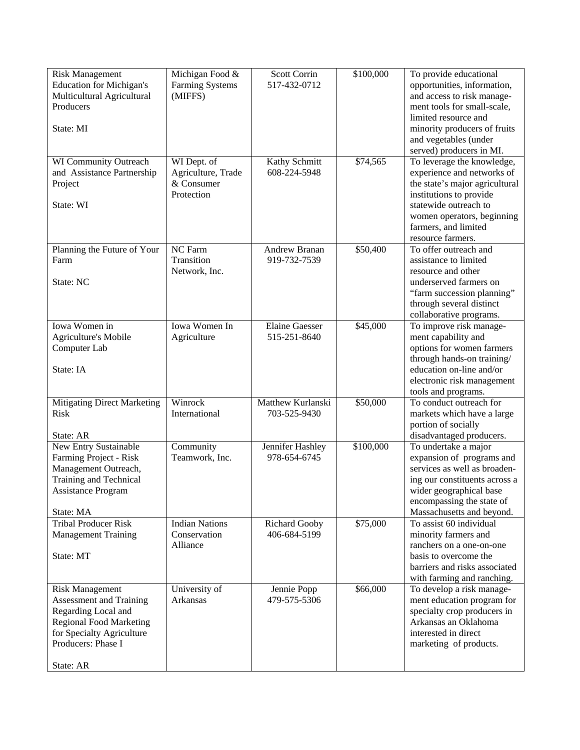| <b>Risk Management</b><br><b>Education for Michigan's</b><br>Multicultural Agricultural<br>Producers<br>State: MI                                             | Michigan Food &<br><b>Farming Systems</b><br>(MIFFS)          | <b>Scott Corrin</b><br>517-432-0712   | \$100,000 | To provide educational<br>opportunities, information,<br>and access to risk manage-<br>ment tools for small-scale,<br>limited resource and<br>minority producers of fruits<br>and vegetables (under<br>served) producers in MI.     |
|---------------------------------------------------------------------------------------------------------------------------------------------------------------|---------------------------------------------------------------|---------------------------------------|-----------|-------------------------------------------------------------------------------------------------------------------------------------------------------------------------------------------------------------------------------------|
| WI Community Outreach<br>and Assistance Partnership<br>Project<br>State: WI                                                                                   | WI Dept. of<br>Agriculture, Trade<br>& Consumer<br>Protection | Kathy Schmitt<br>608-224-5948         | \$74,565  | To leverage the knowledge,<br>experience and networks of<br>the state's major agricultural<br>institutions to provide<br>statewide outreach to<br>women operators, beginning<br>farmers, and limited<br>resource farmers.           |
| Planning the Future of Your<br>Farm<br>State: NC                                                                                                              | <b>NC</b> Farm<br>Transition<br>Network, Inc.                 | Andrew Branan<br>919-732-7539         | \$50,400  | To offer outreach and<br>assistance to limited<br>resource and other<br>underserved farmers on<br>"farm succession planning"<br>through several distinct<br>collaborative programs.                                                 |
| Iowa Women in<br>Agriculture's Mobile<br>Computer Lab<br>State: IA                                                                                            | Iowa Women In<br>Agriculture                                  | <b>Elaine Gaesser</b><br>515-251-8640 | \$45,000  | To improve risk manage-<br>ment capability and<br>options for women farmers<br>through hands-on training/<br>education on-line and/or<br>electronic risk management<br>tools and programs.                                          |
| <b>Mitigating Direct Marketing</b><br><b>Risk</b>                                                                                                             | Winrock<br>International                                      | Matthew Kurlanski<br>703-525-9430     | \$50,000  | To conduct outreach for<br>markets which have a large<br>portion of socially                                                                                                                                                        |
| State: AR<br>New Entry Sustainable<br>Farming Project - Risk<br>Management Outreach,<br>Training and Technical<br><b>Assistance Program</b><br>State: MA      | Community<br>Teamwork, Inc.                                   | Jennifer Hashley<br>978-654-6745      | \$100,000 | disadvantaged producers.<br>To undertake a major<br>expansion of programs and<br>services as well as broaden-<br>ing our constituents across a<br>wider geographical base<br>encompassing the state of<br>Massachusetts and beyond. |
| <b>Tribal Producer Risk</b><br><b>Management Training</b><br>State: MT                                                                                        | <b>Indian Nations</b><br>Conservation<br>Alliance             | Richard Gooby<br>406-684-5199         | \$75,000  | To assist 60 individual<br>minority farmers and<br>ranchers on a one-on-one<br>basis to overcome the<br>barriers and risks associated<br>with farming and ranching.                                                                 |
| <b>Risk Management</b><br>Assessment and Training<br>Regarding Local and<br><b>Regional Food Marketing</b><br>for Specialty Agriculture<br>Producers: Phase I | University of<br>Arkansas                                     | Jennie Popp<br>479-575-5306           | \$66,000  | To develop a risk manage-<br>ment education program for<br>specialty crop producers in<br>Arkansas an Oklahoma<br>interested in direct<br>marketing of products.                                                                    |
| State: AR                                                                                                                                                     |                                                               |                                       |           |                                                                                                                                                                                                                                     |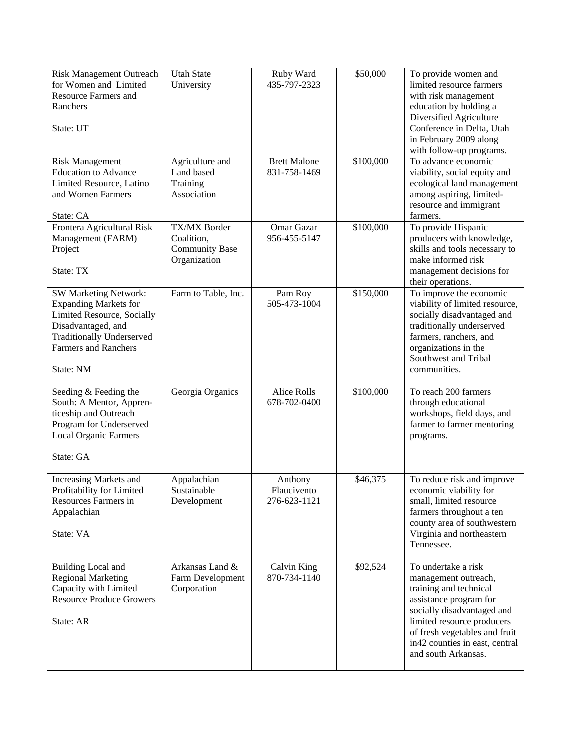| <b>Risk Management Outreach</b><br>for Women and Limited<br><b>Resource Farmers and</b><br>Ranchers<br>State: UT                                                                                 | <b>Utah State</b><br>University                                     | Ruby Ward<br>435-797-2323              | \$50,000  | To provide women and<br>limited resource farmers<br>with risk management<br>education by holding a<br>Diversified Agriculture<br>Conference in Delta, Utah<br>in February 2009 along<br>with follow-up programs.                                       |
|--------------------------------------------------------------------------------------------------------------------------------------------------------------------------------------------------|---------------------------------------------------------------------|----------------------------------------|-----------|--------------------------------------------------------------------------------------------------------------------------------------------------------------------------------------------------------------------------------------------------------|
| <b>Risk Management</b><br><b>Education</b> to Advance<br>Limited Resource, Latino<br>and Women Farmers<br>State: CA                                                                              | Agriculture and<br>Land based<br>Training<br>Association            | <b>Brett Malone</b><br>831-758-1469    | \$100,000 | To advance economic<br>viability, social equity and<br>ecological land management<br>among aspiring, limited-<br>resource and immigrant<br>farmers.                                                                                                    |
| Frontera Agricultural Risk<br>Management (FARM)<br>Project<br>State: TX                                                                                                                          | TX/MX Border<br>Coalition,<br><b>Community Base</b><br>Organization | Omar Gazar<br>956-455-5147             | \$100,000 | To provide Hispanic<br>producers with knowledge,<br>skills and tools necessary to<br>make informed risk<br>management decisions for<br>their operations.                                                                                               |
| <b>SW Marketing Network:</b><br><b>Expanding Markets for</b><br>Limited Resource, Socially<br>Disadvantaged, and<br><b>Traditionally Underserved</b><br><b>Farmers and Ranchers</b><br>State: NM | Farm to Table, Inc.                                                 | Pam Roy<br>505-473-1004                | \$150,000 | To improve the economic<br>viability of limited resource,<br>socially disadvantaged and<br>traditionally underserved<br>farmers, ranchers, and<br>organizations in the<br>Southwest and Tribal<br>communities.                                         |
| Seeding & Feeding the<br>South: A Mentor, Appren-<br>ticeship and Outreach<br>Program for Underserved<br><b>Local Organic Farmers</b><br>State: GA                                               | Georgia Organics                                                    | <b>Alice Rolls</b><br>678-702-0400     | \$100,000 | To reach 200 farmers<br>through educational<br>workshops, field days, and<br>farmer to farmer mentoring<br>programs.                                                                                                                                   |
| Increasing Markets and<br>Profitability for Limited<br>Resources Farmers in<br>Appalachian<br>State: VA                                                                                          | Appalachian<br>Sustainable<br>Development                           | Anthony<br>Flaucivento<br>276-623-1121 | \$46,375  | To reduce risk and improve<br>economic viability for<br>small, limited resource<br>farmers throughout a ten<br>county area of southwestern<br>Virginia and northeastern<br>Tennessee.                                                                  |
| <b>Building Local and</b><br><b>Regional Marketing</b><br>Capacity with Limited<br><b>Resource Produce Growers</b><br>State: AR                                                                  | Arkansas Land &<br>Farm Development<br>Corporation                  | Calvin King<br>870-734-1140            | \$92,524  | To undertake a risk<br>management outreach,<br>training and technical<br>assistance program for<br>socially disadvantaged and<br>limited resource producers<br>of fresh vegetables and fruit<br>in 42 counties in east, central<br>and south Arkansas. |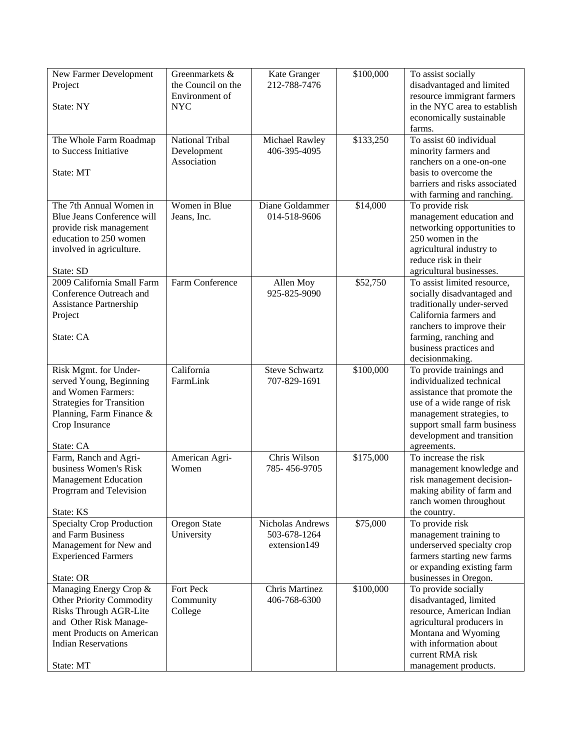| New Farmer Development<br>Project<br>State: NY                                                                                                                                        | Greenmarkets &<br>the Council on the<br>Environment of<br><b>NYC</b> | Kate Granger<br>212-788-7476                     | \$100,000 | To assist socially<br>disadvantaged and limited<br>resource immigrant farmers<br>in the NYC area to establish<br>economically sustainable<br>farms.                                                                         |
|---------------------------------------------------------------------------------------------------------------------------------------------------------------------------------------|----------------------------------------------------------------------|--------------------------------------------------|-----------|-----------------------------------------------------------------------------------------------------------------------------------------------------------------------------------------------------------------------------|
| The Whole Farm Roadmap<br>to Success Initiative<br>State: MT                                                                                                                          | <b>National Tribal</b><br>Development<br>Association                 | Michael Rawley<br>406-395-4095                   | \$133,250 | To assist 60 individual<br>minority farmers and<br>ranchers on a one-on-one<br>basis to overcome the<br>barriers and risks associated<br>with farming and ranching.                                                         |
| The 7th Annual Women in<br>Blue Jeans Conference will<br>provide risk management<br>education to 250 women<br>involved in agriculture.<br>State: SD                                   | Women in Blue<br>Jeans, Inc.                                         | Diane Goldammer<br>014-518-9606                  | \$14,000  | To provide risk<br>management education and<br>networking opportunities to<br>250 women in the<br>agricultural industry to<br>reduce risk in their<br>agricultural businesses.                                              |
| 2009 California Small Farm<br>Conference Outreach and<br>Assistance Partnership<br>Project<br>State: CA                                                                               | Farm Conference                                                      | Allen Moy<br>925-825-9090                        | \$52,750  | To assist limited resource,<br>socially disadvantaged and<br>traditionally under-served<br>California farmers and<br>ranchers to improve their<br>farming, ranching and<br>business practices and<br>decisionmaking.        |
| Risk Mgmt. for Under-<br>served Young, Beginning<br>and Women Farmers:<br><b>Strategies for Transition</b><br>Planning, Farm Finance &<br>Crop Insurance<br>State: CA                 | California<br>FarmLink                                               | <b>Steve Schwartz</b><br>707-829-1691            | \$100,000 | To provide trainings and<br>individualized technical<br>assistance that promote the<br>use of a wide range of risk<br>management strategies, to<br>support small farm business<br>development and transition<br>agreements. |
| Farm, Ranch and Agri-<br>business Women's Risk<br><b>Management Education</b><br>Progrram and Television<br>State: KS                                                                 | American Agri-<br>Women                                              | Chris Wilson<br>785-456-9705                     | \$175,000 | To increase the risk<br>management knowledge and<br>risk management decision-<br>making ability of farm and<br>ranch women throughout<br>the country.                                                                       |
| <b>Specialty Crop Production</b><br>and Farm Business<br>Management for New and<br><b>Experienced Farmers</b><br>State: OR                                                            | Oregon State<br>University                                           | Nicholas Andrews<br>503-678-1264<br>extension149 | \$75,000  | To provide risk<br>management training to<br>underserved specialty crop<br>farmers starting new farms<br>or expanding existing farm<br>businesses in Oregon.                                                                |
| Managing Energy Crop &<br>Other Priority Commodity<br><b>Risks Through AGR-Lite</b><br>and Other Risk Manage-<br>ment Products on American<br><b>Indian Reservations</b><br>State: MT | Fort Peck<br>Community<br>College                                    | Chris Martinez<br>406-768-6300                   | \$100,000 | To provide socially<br>disadvantaged, limited<br>resource, American Indian<br>agricultural producers in<br>Montana and Wyoming<br>with information about<br>current RMA risk<br>management products.                        |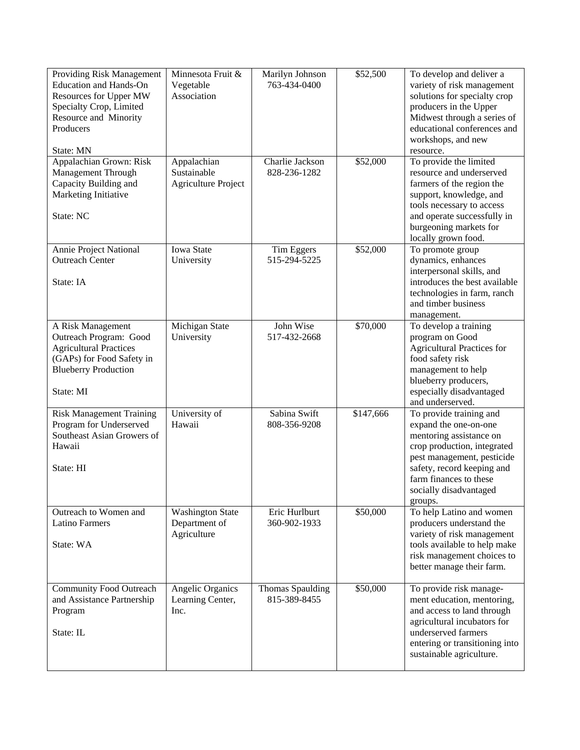| Providing Risk Management<br><b>Education and Hands-On</b><br>Resources for Upper MW<br>Specialty Crop, Limited<br>Resource and Minority<br>Producers<br>State: MN | Minnesota Fruit &<br>Vegetable<br>Association            | Marilyn Johnson<br>763-434-0400  | \$52,500  | To develop and deliver a<br>variety of risk management<br>solutions for specialty crop<br>producers in the Upper<br>Midwest through a series of<br>educational conferences and<br>workshops, and new<br>resource.                     |
|--------------------------------------------------------------------------------------------------------------------------------------------------------------------|----------------------------------------------------------|----------------------------------|-----------|---------------------------------------------------------------------------------------------------------------------------------------------------------------------------------------------------------------------------------------|
| Appalachian Grown: Risk<br>Management Through<br>Capacity Building and<br>Marketing Initiative<br>State: NC                                                        | Appalachian<br>Sustainable<br><b>Agriculture Project</b> | Charlie Jackson<br>828-236-1282  | \$52,000  | To provide the limited<br>resource and underserved<br>farmers of the region the<br>support, knowledge, and<br>tools necessary to access<br>and operate successfully in<br>burgeoning markets for<br>locally grown food.               |
| Annie Project National<br><b>Outreach Center</b><br>State: IA                                                                                                      | <b>Iowa State</b><br>University                          | Tim Eggers<br>515-294-5225       | \$52,000  | To promote group<br>dynamics, enhances<br>interpersonal skills, and<br>introduces the best available<br>technologies in farm, ranch<br>and timber business<br>management.                                                             |
| A Risk Management<br>Outreach Program: Good<br><b>Agricultural Practices</b><br>(GAPs) for Food Safety in<br><b>Blueberry Production</b><br>State: MI              | Michigan State<br>University                             | John Wise<br>517-432-2668        | \$70,000  | To develop a training<br>program on Good<br><b>Agricultural Practices for</b><br>food safety risk<br>management to help<br>blueberry producers,<br>especially disadvantaged<br>and underserved.                                       |
| <b>Risk Management Training</b><br>Program for Underserved<br>Southeast Asian Growers of<br>Hawaii<br>State: HI                                                    | University of<br>Hawaii                                  | Sabina Swift<br>808-356-9208     | \$147,666 | To provide training and<br>expand the one-on-one<br>mentoring assistance on<br>crop production, integrated<br>pest management, pesticide<br>safety, record keeping and<br>farm finances to these<br>socially disadvantaged<br>groups. |
| Outreach to Women and<br><b>Latino Farmers</b><br>State: WA                                                                                                        | <b>Washington State</b><br>Department of<br>Agriculture  | Eric Hurlburt<br>360-902-1933    | \$50,000  | To help Latino and women<br>producers understand the<br>variety of risk management<br>tools available to help make<br>risk management choices to<br>better manage their farm.                                                         |
| <b>Community Food Outreach</b><br>and Assistance Partnership<br>Program<br>State: IL                                                                               | Angelic Organics<br>Learning Center,<br>Inc.             | Thomas Spaulding<br>815-389-8455 | \$50,000  | To provide risk manage-<br>ment education, mentoring,<br>and access to land through<br>agricultural incubators for<br>underserved farmers<br>entering or transitioning into<br>sustainable agriculture.                               |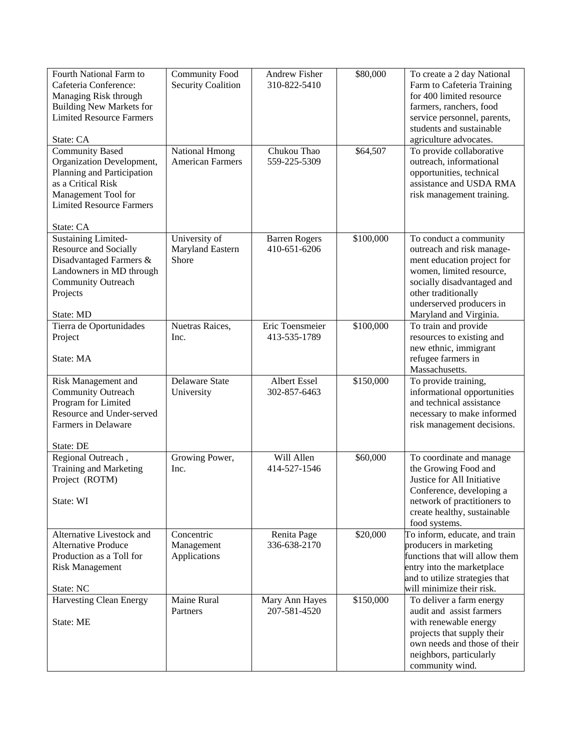| Fourth National Farm to<br>Cafeteria Conference:<br>Managing Risk through<br><b>Building New Markets for</b><br><b>Limited Resource Farmers</b><br>State: CA                   | <b>Community Food</b><br><b>Security Coalition</b> | Andrew Fisher<br>310-822-5410        | \$80,000  | To create a 2 day National<br>Farm to Cafeteria Training<br>for 400 limited resource<br>farmers, ranchers, food<br>service personnel, parents,<br>students and sustainable<br>agriculture advocates.                     |
|--------------------------------------------------------------------------------------------------------------------------------------------------------------------------------|----------------------------------------------------|--------------------------------------|-----------|--------------------------------------------------------------------------------------------------------------------------------------------------------------------------------------------------------------------------|
| <b>Community Based</b><br>Organization Development,<br>Planning and Participation<br>as a Critical Risk<br>Management Tool for<br><b>Limited Resource Farmers</b><br>State: CA | <b>National Hmong</b><br><b>American Farmers</b>   | Chukou Thao<br>559-225-5309          | \$64,507  | To provide collaborative<br>outreach, informational<br>opportunities, technical<br>assistance and USDA RMA<br>risk management training.                                                                                  |
| <b>Sustaining Limited-</b><br>Resource and Socially<br>Disadvantaged Farmers &<br>Landowners in MD through<br>Community Outreach<br>Projects<br>State: MD                      | University of<br>Maryland Eastern<br>Shore         | <b>Barren Rogers</b><br>410-651-6206 | \$100,000 | To conduct a community<br>outreach and risk manage-<br>ment education project for<br>women, limited resource,<br>socially disadvantaged and<br>other traditionally<br>underserved producers in<br>Maryland and Virginia. |
| Tierra de Oportunidades<br>Project<br>State: MA                                                                                                                                | Nuetras Raices,<br>Inc.                            | Eric Toensmeier<br>413-535-1789      | \$100,000 | To train and provide<br>resources to existing and<br>new ethnic, immigrant<br>refugee farmers in<br>Massachusetts.                                                                                                       |
| Risk Management and<br><b>Community Outreach</b><br>Program for Limited<br>Resource and Under-served<br>Farmers in Delaware<br>State: DE                                       | <b>Delaware State</b><br>University                | Albert Essel<br>302-857-6463         | \$150,000 | To provide training,<br>informational opportunities<br>and technical assistance<br>necessary to make informed<br>risk management decisions.                                                                              |
| Regional Outreach,<br>Training and Marketing<br>Project (ROTM)<br>State: WI                                                                                                    | Growing Power,<br>Inc.                             | Will Allen<br>414-527-1546           | \$60,000  | To coordinate and manage<br>the Growing Food and<br>Justice for All Initiative<br>Conference, developing a<br>network of practitioners to<br>create healthy, sustainable<br>food systems.                                |
| Alternative Livestock and<br><b>Alternative Produce</b><br>Production as a Toll for<br><b>Risk Management</b><br>State: NC                                                     | Concentric<br>Management<br>Applications           | Renita Page<br>336-638-2170          | \$20,000  | To inform, educate, and train<br>producers in marketing<br>functions that will allow them<br>entry into the marketplace<br>and to utilize strategies that<br>will minimize their risk.                                   |
| <b>Harvesting Clean Energy</b><br>State: ME                                                                                                                                    | Maine Rural<br>Partners                            | Mary Ann Hayes<br>207-581-4520       | \$150,000 | To deliver a farm energy<br>audit and assist farmers<br>with renewable energy<br>projects that supply their<br>own needs and those of their<br>neighbors, particularly<br>community wind.                                |